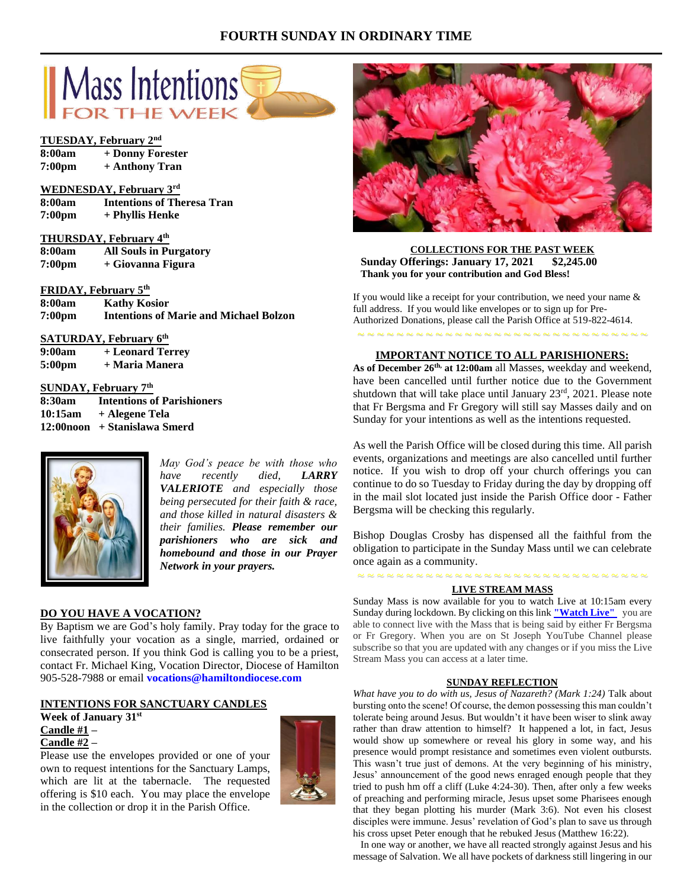# **FOURTH SUNDAY IN ORDINARY TIME**



# **TUESDAY, February 2nd**

| 8:00am | + Donny Forester |
|--------|------------------|
| 7:00pm | + Anthony Tran   |

### **WEDNESDAY, February 3rd**

**8:00am Intentions of Theresa Tran 7:00pm + Phyllis Henke**

# **THURSDAY, February 4th**

**8:00am All Souls in Purgatory 7:00pm + Giovanna Figura**

**FRIDAY, February 5th**

**8:00am Kathy Kosior 7:00pm Intentions of Marie and Michael Bolzon**

# **SATURDAY, February 6th**

**9:00am + Leonard Terrey 5:00pm + Maria Manera**

# **SUNDAY, February 7th**

| 8:30am  | <b>Intentions of Parishioners</b> |
|---------|-----------------------------------|
| 10:15am | + Alegene Tela                    |
|         | 12:00noon + Stanislawa Smerd      |



*May God's peace be with those who have recently died, LARRY VALERIOTE and especially those being persecuted for their faith & race, and those killed in natural disasters & their families. Please remember our parishioners who are sick and homebound and those in our Prayer Network in your prayers.*

# **DO YOU HAVE A VOCATION?**

By Baptism we are God's holy family. Pray today for the grace to live faithfully your vocation as a single, married, ordained or consecrated person. If you think God is calling you to be a priest, contact Fr. Michael King, Vocation Director, Diocese of Hamilton 905-528-7988 or email **vocations@hamiltondiocese.com** 

## **INTENTIONS FOR SANCTUARY CANDLES**

# **Week of January 31st Candle #1 –**

# **Candle #2 –**

Please use the envelopes provided or one of your own to request intentions for the Sanctuary Lamps, which are lit at the tabernacle. The requested offering is \$10 each. You may place the envelope in the collection or drop it in the Parish Office.





#### **COLLECTIONS FOR THE PAST WEEK Sunday Offerings: January 17, 2021 \$2,245.00 Thank you for your contribution and God Bless!**

If you would like a receipt for your contribution, we need your name  $\&$ full address. If you would like envelopes or to sign up for Pre-Authorized Donations, please call the Parish Office at 519-822-4614.

# ~ ~ ~ ~ ~ ~ ~ ~ ~ ~ ~ ~ ~ ~ ~ ~ ~ ~ ~ ~ ~ ~ ~ ~ ~ ~ ~ ~ ~ ~ **IMPORTANT NOTICE TO ALL PARISHIONERS:**

**As of December 26th, at 12:00am** all Masses, weekday and weekend, have been cancelled until further notice due to the Government shutdown that will take place until January 23rd, 2021. Please note that Fr Bergsma and Fr Gregory will still say Masses daily and on Sunday for your intentions as well as the intentions requested.

As well the Parish Office will be closed during this time. All parish events, organizations and meetings are also cancelled until further notice. If you wish to drop off your church offerings you can continue to do so Tuesday to Friday during the day by dropping off in the mail slot located just inside the Parish Office door - Father Bergsma will be checking this regularly.

Bishop Douglas Crosby has dispensed all the faithful from the obligation to participate in the Sunday Mass until we can celebrate once again as a community.

# ~ ~ ~ ~ ~ ~ ~ ~ ~ ~ ~ ~ ~ ~ ~ ~ ~ ~ ~ ~ ~ ~ ~ ~ ~ ~ ~ ~ ~ ~ **LIVE STREAM MASS**

Sunday Mass is now available for you to watch Live at 10:15am every Sunday during lockdown. By clicking on this link **["Watch](https://www.youtube.com/channel/UCL59hxegD__FDJSdMDrt31w) Live"** you are able to connect live with the Mass that is being said by either Fr Bergsma or Fr Gregory. When you are on St Joseph YouTube Channel please subscribe so that you are updated with any changes or if you miss the Live Stream Mass you can access at a later time.

## **SUNDAY REFLECTION**

*What have you to do with us, Jesus of Nazareth? (Mark 1:24)* Talk about bursting onto the scene! Of course, the demon possessing this man couldn't tolerate being around Jesus. But wouldn't it have been wiser to slink away rather than draw attention to himself? It happened a lot, in fact, Jesus would show up somewhere or reveal his glory in some way, and his presence would prompt resistance and sometimes even violent outbursts. This wasn't true just of demons. At the very beginning of his ministry, Jesus' announcement of the good news enraged enough people that they tried to push hm off a cliff (Luke 4:24-30). Then, after only a few weeks of preaching and performing miracle, Jesus upset some Pharisees enough that they began plotting his murder (Mark 3:6). Not even his closest disciples were immune. Jesus' revelation of God's plan to save us through his cross upset Peter enough that he rebuked Jesus (Matthew 16:22).

 In one way or another, we have all reacted strongly against Jesus and his message of Salvation. We all have pockets of darkness still lingering in our